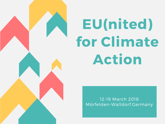## EU(nited) for Climate Action

12-19 March 2018 Mörfelden-Walldorf,Germany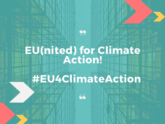## 99 EU(nited) for Climate Action!

## #EU4ClimateAction

66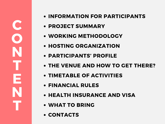- INFORMATION FOR PARTICIPANTS
- PROJECT SUMMARY
- WORKING METHODOLOGY
- HOSTING ORGANIZATION
- PARTICIPANTS' PROFILE
- THE VENUE AND HOW TO GET THERE?
- TIMETABLE OF ACTIVITIES
- FINANCIAL RULES
- **HEALTH INSURANCE AND VISA**
- WHAT TO BRING
- CONTACTS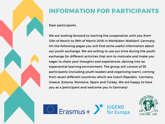

#### INFORMATION FOR PARTICIPANTS

Dear participants,

We are looking forward to starting the cooperation with you from 12th of March to 19th of March 2018 in Mörfelden-Walldorf, Germany. On the following pages you will find some useful information about our youth exchange. We are willing to use our time during the youth exchange for different activities that aim to motivate and make you eager to share your thoughts and experiences, delving into an experiential learning environment. The group will consist of 35 participants (including youth leaders and organising team), coming from seven different countries which are Czech Republic, Germany, Greece, Estonia, Romania, Spain and Turkey. We are happy to have you as a participant and welcome you in Germany!



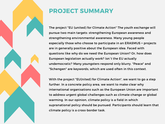

#### PROJECT SUMMARY

The project "EU (united) for Climate Action" The youth exchange will pursue two main targets: strengthening European awareness and strengthening environmental awareness. Many young people especially those who choose to participate in an ERASMUS + projects are in generally positive about the European idea. Faced with questions like why do we need the European Union? Or, how does European legislation actually work? Isn`t the EU actually undemocratic? Many youngsters respond only blurry. "Peace" and "Schengen" are keywords, which are used often in this context.

With the project "EU(nited) for Climate Action", we want to go a step further. In a concrete policy area, we want to make clear why international organisations such as the European Union are important to address urgent global challenges such as climate change or global warming. In our opinion, climate policy is a field in which supranational policy should be pursued. Participants should learn that climate policy is a cross-border task.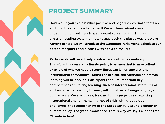

#### PROJECT SUMMARY

How would you explain what positive and negative external effects are and how they can be internalised? We will learn about current environmental topics such as renewable energies, the European emission trading system or how to approach the plastic way problem. Among others, we will simulate the European Parliament, calculate our carbon footprints and discuss with decision makers.

Participants will be actively involved and will work creatively. Therefore, the common climate policy is an area that is an excellent example of why we need a strong European Union and a strong international community. During the project, the methods of informal learning will be applied. Participants acquire important key competences of lifelong learning, such as interpersonal, intercultural and social skills, learning to learn, self-initiative or foreign language competence. We are looking forward to this project in an exciting international environment. In times of crisis with great global challenges, the strengthening of the European values and a common climate policy is of great importance. That is why we say: EU(nited) for Climate Action!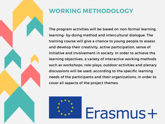

#### WORKING METHODOLOGY

The program activities will be based on non-formal learning, learning- by-doing method and intercultural dialogue. The training course will give a chance to young people to assess and develop their creativity, active participation, sense of initiative and involvement in society. In order to achieve the learning objectives, a variety of interactive working methods such as workshops, role-plays, outdoor activities and plenary discussions will be used, according to the specific learning needs of the participants and their organizations, in order to cover all aspects of the project themes.

Erasmus+

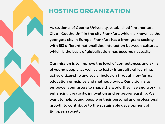

#### HOSTING ORGANIZATION

As students of Goethe-University, established "Intercultural Club – Goethe Uni" in the city Frankfurt, which is known as the youngest city in Europe. Frankfurt has a immigrant society with 153 different nationalities. Interaction between cultures, which is the basis of globalisation, has become necessity.

Our mission is to improve the level of competences and skills of young people, as well as to foster intercultural learning, active citizenship and social inclusion through non-formal education principles and methodologies. Our vision is to empower youngsters to shape the world they live and work in, enhancing creativity, innovation and entrepreneurship. We want to help young people in their personal and professional growth to contribute to the sustainable development of European society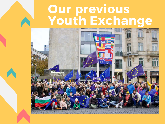## Our previous Youth Exchange

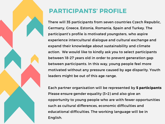

#### PARTICIPANTS' PROFILE

There will 35 participants from seven countries Czech Republic, Germany, Greece, Estonia, Romania, Spain and Turkey. The participant's profile is motivated youngsters, who aspire experience intercultural dialogue and cultural exchange and expand their knowledge about sustainability and climate action. We would like to kindly ask you to select participants between 18-27 years old in order to prevent generation gap between participants. In this way, young people feel more motivated without any pressure caused by age disparity. Youth leaders might be out of this age range.

Each partner organisation will be represented by 5 participants Please ensure gender equality (3+2) and also give an opportunity to young people who are with fewer opportunities such as cultural differences, economic difficulties and educational difficulties. The working language will be in English.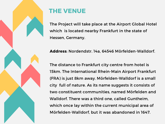

#### THE VENUE

The Project will take place at the Airport Global Hotel which is located nearby Frankfurt in the state of Hessen, Germany.

[Address: Nordendstr. 14a, 64546](http://www.hotelglobal.info/index.html) Mörfelden-Walldorf.

The distance to Frankfurt city centre from hotel is 15km. The International Rhein-Main Airport Frankfurt (FRA) is just 8km away. Mörfelden-Walldorf is a small city full of nature. As its name suggests it consists of two constituent communities, named Mörfelden and Walldorf. There was a third one, called Guntheim, which once lay within the current municipal area of Mörfelden-Walldorf, but it was abandoned in 1647.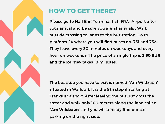

#### HOW TO GET THERE?

Please go to Hall B in Terminal 1 at (FRA) Airport after your arrival and be sure you are at arrivials . Walk outside crossing to lanes to the bus station. Go to platform 24 where you will find buses no. 751 and 752. They leave every 30 minutes on weekdays and every hour on weekends. The price of a single trip is 2.50 EUR and the journey takes 18 minutes.

The bus stop you have to exit is named "Am Wildzaun" situated in Walldorf. It is the 9th stop if starting at Frankfurt airport. After leaving the bus just cross the street and walk only 100 meters along the lane called "Am Wildzaun" and you will already find our car parking on the right side.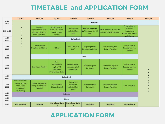#### TIMETABLE and APPLICATION FORM

|                   | 12/03/18                                                                                 | 13/03/18                                                                               | 14/03/18                                                                           | 15/03/18                                              | 16/03/18                                             | 17/03/18                                                  | 18/03/18                                                                        | 19/03/18            |
|-------------------|------------------------------------------------------------------------------------------|----------------------------------------------------------------------------------------|------------------------------------------------------------------------------------|-------------------------------------------------------|------------------------------------------------------|-----------------------------------------------------------|---------------------------------------------------------------------------------|---------------------|
| 08:30-<br>09:30   |                                                                                          | <b>Breakfast</b>                                                                       |                                                                                    |                                                       |                                                      |                                                           |                                                                                 |                     |
| 9:30-11:00        | A                                                                                        | Fears and<br><b>Expectations &amp; Rules</b><br>of project & Get to<br>know each other | Presentation of<br>climate issues and<br>policies in the<br>countries.             | Calculation of<br>ecological foot<br>print            | What can politicians<br>do? How does the EU<br>work? | What can I do? Sustainable<br>city tour through Frankfurt | Presentation of<br>Erasmus +<br>Programme<br>Formal, Non Formal<br>and Informal |                     |
| 11:00-<br>11:30   | <b>Coffee break</b>                                                                      |                                                                                        |                                                                                    |                                                       |                                                      |                                                           |                                                                                 |                     |
| $11:30-$<br>13:00 |                                                                                          | <b>Climate Change</b><br><b>Energizers and Games</b>                                   | NGO fair                                                                           | Movie "The True<br>Cost"                              | <b>Preparing Model</b><br><b>European Parliament</b> | Sustainable city tour<br>through Frankfurt                | <b>Future projects:</b><br>Develop you own<br>projects                          |                     |
| 13:00-<br>15:00   | Lunch                                                                                    |                                                                                        |                                                                                    |                                                       |                                                      |                                                           |                                                                                 |                     |
| 15:00-<br>16:30   |                                                                                          | <b>Greenhouse Theatre</b>                                                              | Define<br>Sustainability,<br>explore UN<br>Sustainable<br><b>Development Goals</b> | Define the true<br>costs: concept of<br>externalities | Model European<br>Parliamant                         | Sustainable city tour<br>through Frankfurt                | Future projects:<br>Develop you own<br>projects                                 | D<br>e              |
| $16:30-$<br>17:00 | <b>Coffee Break</b>                                                                      |                                                                                        |                                                                                    |                                                       |                                                      |                                                           |                                                                                 | ō                   |
| 17:00-<br>18:30   | Presentation of the<br>project, working<br>table, team,<br>organization,<br>Ice breaking | <b>Explore Sustainable</b><br>Energy in Mörfelden-<br>Walldorf                         | Oxford debate<br>(Climate Change)                                                  | How can we<br>reduce our<br>ecological foot<br>print? | Model European<br>Parliamant                         | Sustainable city tour<br>through Frankfurt                | <b>Final evaluation</b>                                                         | $\blacksquare$<br>a |
| $18:30-$<br>19:00 | <b>Reflection</b>                                                                        |                                                                                        |                                                                                    |                                                       |                                                      |                                                           |                                                                                 |                     |
| 19:00-<br>20:00   | <b>Dinner</b>                                                                            |                                                                                        |                                                                                    |                                                       |                                                      |                                                           |                                                                                 |                     |
| 21:00             | <b>Welcome Night</b>                                                                     | <b>Free Night</b>                                                                      | <b>Intercultural Night</b><br>1                                                    | <b>Intercultural Night</b><br>$\overline{z}$          | <b>Free Night</b>                                    | <b>Free Night</b>                                         | <b>Farewell Party</b>                                                           |                     |

#### [APPLICATION](https://docs.google.com/forms/d/e/1FAIpQLSfMXrVUq_HOY_jGEAsCAHXQCG3auuE4kO4LJ2DGlLc99Ky8Zg/viewform) FORM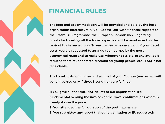

#### FINANCIAL RULES

The food and accommodation will be provided and paid by the host organisation Intercultural Club - Goethe Uni, with financial support of the Erasmus+ Programme, the European Commission. Regarding tickets for traveling, all the travel expenses will be reimbursed on the basis of the financial rules. To ensure the reimbursement of your travel costs, you are requested to arrange your journey by the most economical route and to make use, wherever possible, of any available reduced tariff (student fares, discount for young people, etc). TAXI is not refundable!

The travel costs within the budget limit of your Country (see below) will be reimbursed only if these 3 conditions are fulfilled:

1) You gave all the ORIGINAL tickets to our organisation. It's fundamental to bring the invoices or the travel confirmations where is clearly shown the price;

2) You attended the full duration of the youth exchange;

3) You submitted any report that our organisation or EU requested;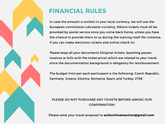

#### FINANCIAL RULES

In case the amount is written in your local currency, we will use the European commission calculator currency. Return tickets must all be provided by postal service once you come back home, unless you have the chance to provide them to us during the training itself (for instance, if you can make electronic tickets and online check in).

Please keep all your documents (Original tickets, boarding passes, invoices or bills with the ticket price) which are related to your travel, since the documentation background is obligatory for reimbursement.

The budget limit per each participant is the following: Czech Republic, Germany, Greece, Estonia, Romania, Spain and Turkey: 275€

#### PLEASE DO NOT PURCHASE ANY TICKETS BEFORE ASKING OUR CONFIRMATION!

Please send your travel proposal to euforclimateaction@gmail.com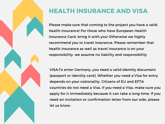#### HEALTH INSURANCE AND VISA

Please make sure that coming to the project you have a valid health insurance! For those who have European Health Insurance Card, bring it with you! Otherwise we highly recommend you to travel insurance. Please remember that health insurance as well as travel insurance is on your responsibility, we assume no liability and responsibility

VISA:To enter Germany, you need a valid identity document (passport or identity card). Whether you need a Visa for entry depends on your nationality. Citizens of EU and EFTA countries do not need a Visa. If you need a Visa, make sure you apply for it immediately because it can take a long time. If you need an invitation or confirmation letter from our side, please let us know.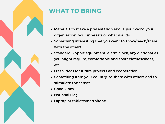

### WHAT TO BRING

- Materials to make a presentation about: your work, your organisation, your interests or what you do
- Something interesting that you want to show/teach/share with the others
- Standard & Sport equipment: alarm clock, any dictionaries you might require, comfortable and sport clothes/shoes, etc.
- Fresh ideas for future projects and cooperation
- Something from your country, to share with others and to stimulate the senses
- Good vibes
- National Flag
- Laptop or tablet/smartphone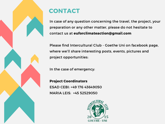

#### CONTACT

In case of any question concerning the travel, the project, your preparation or any other matter, please do not hesitate to contact us at [euforclimateaction@gmail.com](https://www.facebook.com/interculturalclubgoetheuni/)

Please find Intercultural Club - Goethe Uni on facebook page, where we'll share interesting posts, events, pictures and project opportunities:

In the case of emergency:

Project Coordinators ESAD CEBI: +49 176 43649050 MARIA LEIS: +45 52529050